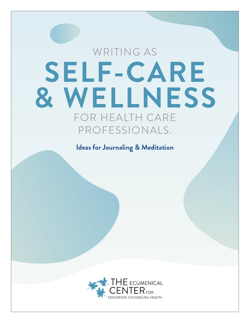# WRITING AS **SELF-CARE & WELLNESS** FOR HEALTH CARE PROFESSIONALS.

**Ideas for Journaling & Meditation**

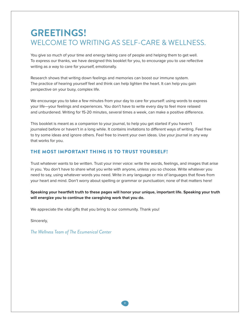# **GREETINGS!**  WELCOME TO WRITING AS SELF-CARE & WELLNESS.

You give so much of your time and energy taking care of people and helping them to get well. To express our thanks, we have designed this booklet for you, to encourage you to use reflective writing as a way to care for yourself, emotionally.

Research shows that writing down feelings and memories can boost our immune system. The practice of hearing yourself feel and think can help lighten the heart. It can help you gain perspective on your busy, complex life.

We encourage you to take a few minutes from your day to care for yourself: using words to express your life—your feelings and experiences. You don't have to write every day to feel more relaxed and unburdened. Writing for 15-20 minutes, several times a week, can make a positive difference.

This booklet is meant as a companion to your journal, to help you get started if you haven't journaled before or haven't in a long while. It contains invitations to different ways of writing. Feel free to try some ideas and ignore others. Feel free to invent your own ideas. Use your journal in any way that works for you.

#### THE MOST IMPORTANT THING IS TO TRUST YOURSELF!

Trust whatever wants to be written. Trust your inner voice: write the words, feelings, and images that arise in you. You don't have to share what you write with anyone, unless you so choose. Write whatever you need to say, using whatever words you need. Write in any language or mix of languages that flows from your heart and mind. Don't worry about spelling or grammar or punctuation; none of that matters here!

**Speaking your heartfelt truth to these pages will honor your unique, important life. Speaking your truth will energize you to continue the caregiving work that you do.**

We appreciate the vital gifts that you bring to our community. Thank you!

Sincerely,

*The Wellness Team of The Ecumenical Center*

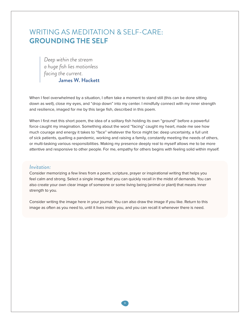# WRITING AS MEDITATION & SELF-CARE: **GROUNDING THE SELF**

*Deep within the stream a huge fish lies motionless facing the current.* James W. Hackett

When I feel overwhelmed by a situation, I often take a moment to stand still (this can be done sitting down as well), close my eyes, and "drop down" into my center. I mindfully connect with my inner strength and resilience, imaged for me by this large fish, described in this poem.

When I first met this short poem, the idea of a solitary fish holding its own "ground" before a powerful force caught my imagination. Something about the word "facing" caught my heart, made me see how much courage and energy it takes to "face" whatever the force might be: deep uncertainty, a full unit of sick patients, quelling a pandemic, working and raising a family, constantly meeting the needs of others, or multi-tasking various responsibilities. Making my presence deeply real to myself allows me to be more attentive and responsive to other people. For me, empathy for others begins with feeling solid within myself.

#### *Invitation:*

Consider memorizing a few lines from a poem, scripture, prayer or inspirational writing that helps you feel calm and strong. Select a single image that you can quickly recall in the midst of demands. You can also create your own clear image of someone or some living being (animal or plant) that means inner strength to you.

Consider writing the image here in your journal. You can also draw the image if you like. Return to this image as often as you need to, until it lives inside you, and you can recall it whenever there is need.

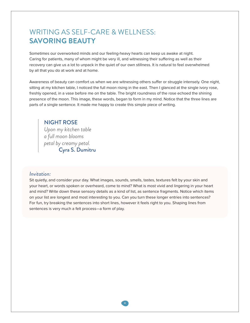# WRITING AS SELF-CARE & WELLNESS: **SAVORING BEAUTY**

Sometimes our overworked minds and our feeling-heavy hearts can keep us awake at night. Caring for patients, many of whom might be very ill, and witnessing their suffering as well as their recovery can give us a lot to unpack in the quiet of our own stillness. It is natural to feel overwhelmed by all that you do at work and at home.

Awareness of beauty can comfort us when we are witnessing others suffer or struggle intensely. One night, sitting at my kitchen table, I noticed the full moon rising in the east. Then I glanced at the single ivory rose, freshly opened, in a vase before me on the table. The bright roundness of the rose echoed the shining presence of the moon. This image, these words, began to form in my mind. Notice that the three lines are parts of a single sentence. It made me happy to create this simple piece of writing.

NIGHT ROSE *Upon my kitchen table a full moon blooms petal by creamy petal.* Cyra S. Dumitru

#### *Invitation:*

Sit quietly, and consider your day. What images, sounds, smells, tastes, textures felt by your skin and your heart, or words spoken or overheard, come to mind? What is most vivid and lingering in your heart and mind? Write down these sensory details as a kind of list, as sentence fragments. Notice which items on your list are longest and most interesting to you. Can you turn these longer entries into sentences? For fun, try breaking the sentences into short lines, however it feels right to you. Shaping lines from sentences is very much a felt process—a form of play.

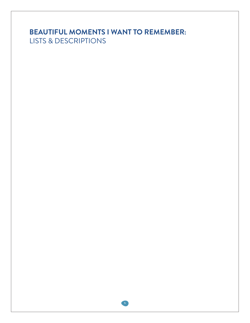# **BEAUTIFUL MOMENTS I WANT TO REMEMBER:**  LISTS & DESCRIPTIONS

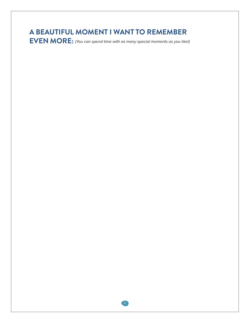# **A BEAUTIFUL MOMENT I WANT TO REMEMBER**

**EVEN MORE:** (You can spend time with as many special moments as you like!)

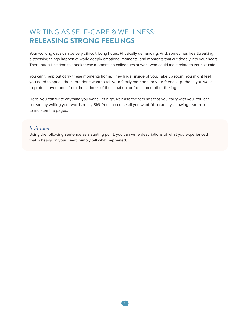# WRITING AS SELF-CARE & WELLNESS: **RELEASING STRONG FEELINGS**

Your working days can be very difficult. Long hours. Physically demanding. And, sometimes heartbreaking, distressing things happen at work: deeply emotional moments, and moments that cut deeply into your heart. There often isn't time to speak these moments to colleagues at work who could most relate to your situation.

You can't help but carry these moments home. They linger inside of you. Take up room. You might feel you need to speak them, but don't want to tell your family members or your friends—perhaps you want to protect loved ones from the sadness of the situation, or from some other feeling.

Here, you can write anything you want. Let it go. Release the feelings that you carry with you. You can scream by writing your words really BIG. You can curse all you want. You can cry, allowing teardrops to moisten the pages.

#### *Invitation:*

Using the following sentence as a starting point, you can write descriptions of what you experienced that is heavy on your heart. Simply tell what happened.

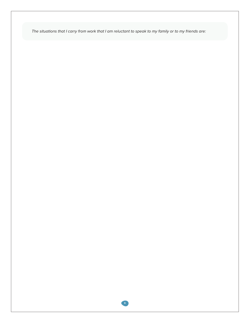The situations that I carry from work that I am reluctant to speak to my family or to my friends are:

**8**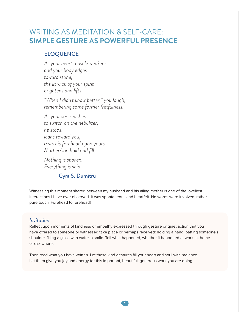# WRITING AS MEDITATION & SELF-CARE: **SIMPLE GESTURE AS POWERFUL PRESENCE**

### ELOQUENCE

*As your heart muscle weakens and your body edges toward stone, the lit wick of your spirit brightens and lifts.*

*"When I didn't know better," you laugh, remembering some former fretfulness.*

*As your son reaches to switch on the nebulizer, he stops: leans toward you, rests his forehead upon yours. Mother/son hold and fill.*

*Nothing is spoken. Everything is said.*

### Cyra S. Dumitru

Witnessing this moment shared between my husband and his ailing mother is one of the loveliest interactions I have ever observed. It was spontaneous and heartfelt. No words were involved, rather pure touch. Forehead to forehead!

#### *Invitation:*

Reflect upon moments of kindness or empathy expressed through gesture or quiet action that you have offered to someone or witnessed take place or perhaps received: holding a hand, patting someone's shoulder, filling a glass with water, a smile. Tell what happened, whether it happened at work, at home or elsewhere.

Then read what you have written. Let these kind gestures fill your heart and soul with radiance. Let them give you joy and energy for this important, beautiful, generous work you are doing.

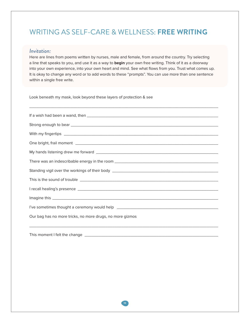# WRITING AS SELF-CARE & WELLNESS: **FREE WRITING**

#### *Invitation:*

Here are lines from poems written by nurses, male and female, from around the country. Try selecting a line that speaks to you, and use it as a way to **begin** your own free writing. Think of it as a doorway into your own experience, into your own heart and mind. See what flows from you. Trust what comes up. It is okay to change any word or to add words to these "prompts". You can use more than one sentence within a single free write.

\_\_\_\_\_\_\_\_\_\_\_\_\_\_\_\_\_\_\_\_\_\_\_\_\_\_\_\_\_\_\_\_\_\_\_\_\_\_\_\_\_\_\_\_\_\_\_\_\_\_\_\_\_\_\_\_\_\_\_\_\_\_\_\_\_\_\_\_\_\_\_\_\_\_\_\_\_\_\_\_\_\_

Look beneath my mask, look beyond these layers of protection & see

This moment I felt the change \_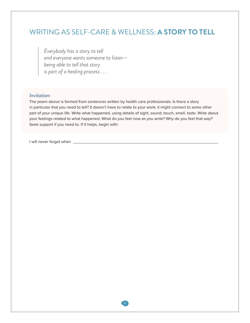# WRITING AS SELF-CARE & WELLNESS: **A STORY TO TELL**

*Everybody has a story to tell and everyone wants someone to listen being able to tell that story is part of a healing process . . .*

#### *Invitation:*

The poem above is formed from sentences written by health care professionals. Is there a story in particular that you need to tell? It doesn't have to relate to your work; it might connect to some other part of your unique life. Write what happened, using details of sight, sound, touch, smell, taste. Write about your feelings related to what happened. What do you feel now as you write? Why do you feel that way? Seek support if you need to. If it helps, begin with:

I will never forget when